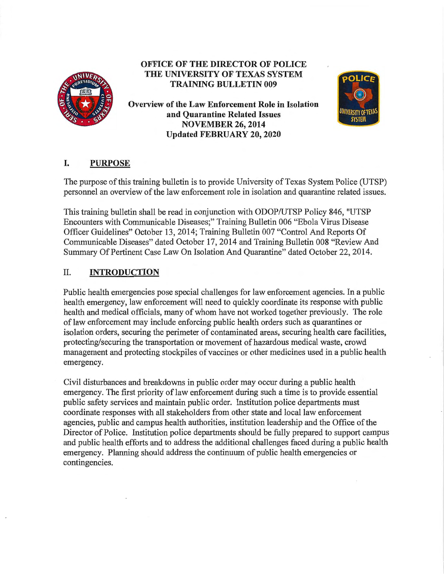

# **OFFICE OF THE DIRECTOR OF POLICE THE UNIVERSITY OF TEXAS SYSTEM TRAINING BULLETIN 009**

**Overview of the Law Enforcement Role in Isolation and Quarantine Related Issues NOVEMBER 26, 2014 Updated FEBRUARY 20, 2020** 



## I. **PURPOSE**

The purpose of this training bulletin is to provide University of Texas System Police (UTSP) personnel an overview of the law enforcement role in isolation and quarantine related issues.

This training bulletin shall be read in conjunction with ODOP/UTSP Policy 846, "UTSP Encounters with Communicable Diseases;" Training Bulletin 006 "Ebola Virus Disease Officer Guidelines" October 13, 2014; Training Bulletin 007 "Control And Reports Of Communicable Diseases" dated October 17, 2014 and Training Bulletin 008 "Review And Summary Of Pertinent Case Law On Isolation And Quarantine" dated October 22, 2014.

# II. **INTRODUCTION**

Public health emergencies pose special challenges for law enforcement agencies. In a public health emergency, law enforcement will need to quickly coordinate its response with public health and medical officials, many of whom have not worked together previously. The role of law enforcement may include enforcing public health orders such as quarantines or isolation orders, securing the perimeter of contaminated areas, securing health care facilities, protecting/securing the transportation or movement of hazardous medical waste, crowd management and protecting stockpiles of vaccines or other medicines used in a public health emergency.

Civil disturbances and breakdowns in public order may occur during a public health emergency. The first priority of law enforcement during such a time is to provide essential public safety services and maintain public order. Institution police departments must coordinate responses with all stakeholders from other state and local law enforcement agencies, public and campus health authorities, institution leadership and the Office of the Director of Police. Institution police departments should be fully prepared to support campus and public health efforts and to address the additional challenges faced during a public health emergency. Planning should address the continuum of public health emergencies or contingencies.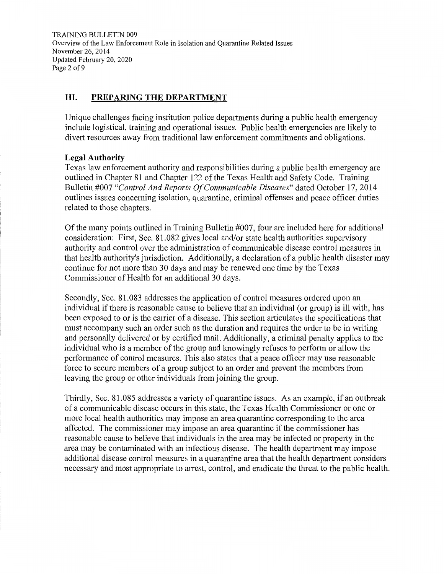TRAINING BULLETIN 009 Overview of the Law Enforcement Role in Isolation and Quarantine Related Issues November 26, 2014 Updated February 20, 2020 Page 2 of 9

### **III. PREPARING THE DEPARTMENT**

Unique challenges facing institution police departments during a public health emergency include logistical, training and operational issues. Public health emergencies are likely to divert resources away from traditional law enforcement commitments and obligations.

#### **Legal Authority**

Texas law enforcement authority and responsibilities during a public health emergency are outlined in Chapter 81 and Chapter 122 of the Texas Health and Safety Code. Training Bulletin #007 *"Control And Reports Of Communicable Diseases"* dated October 17, 2014 outlines issues concerning isolation, quarantine, criminal offenses and peace officer duties related to those chapters.

Of the many points outlined in Training Bulletin #007, four are included here for additional consideration: First, Sec. 81.082 gives local and/or state health authorities supervisory authority and control over the administration of communicable disease control measures in that health authority's jurisdiction. Additionally, a declaration of a public health disaster may continue for not more than 30 days and may be renewed one time by the Texas Commissioner of Health for an additional 30 days.

Secondly, Sec. 81. 083 addresses the application of control measures ordered upon an individual if there is reasonable cause to believe that an individual ( or group) is ill with, has been exposed to or is the carrier of a disease. This section articulates the specifications that must accompany such an order such as the duration and requires the order to be in writing and personally delivered or by certified mail. Additionally, a criminal penalty applies to the individual who is a member of the group and knowingly refuses to perform or allow the performance of control measures. This also states that a peace officer may use reasonable force to secure members of a group subject to an order and prevent the members from leaving the group or other individuals from joining the group.

Thirdly, Sec. 81.085 addresses a variety of quarantine issues. As an example, if an outbreak of a communicable disease occurs in this state, the Texas Health Commissioner or one or more local health authorities may impose an area quarantine corresponding to the area affected. The commissioner may impose an area quarantine if the commissioner has reasonable cause to believe that individuals in the area may be infected or property in the area may be contaminated with an infectious disease. The health department may impose additional disease control measures in a quarantine area that the health department considers necessary and most appropriate to arrest, control, and eradicate the threat to the public health.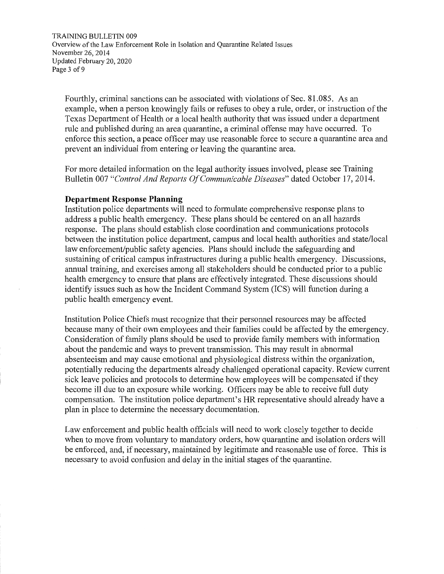TRAINING BULLETIN 009 Overview of the Law Enforcement Role in Isolation and Quarantine Related Issues November 26, 2014 Updated February 20, 2020 Page 3 of 9

Fourthly, criminal sanctions can be associated with violations of Sec. 81.085. As an example, when a person knowingly fails or refuses to obey a rule, order, or instruction of the Texas Department of Health or a local health authority that was issued under a department rule and published during an area quarantine, a criminal offense may have occurred. To enforce this section, a peace officer may use reasonable force to secure a quarantine area and prevent an individual from entering or leaving the quarantine area.

For more detailed information on the legal authority issues involved, please see Training Bulletin 007 *"Control And Reports Of Communicable Diseases"* dated October 17, 2014.

#### **Department Response Planning**

Institution police departments will need to formulate comprehensive response plans to address a public health emergency. These plans should be centered on an all hazards response. The plans should establish close coordination and communications protocols between the institution police department, campus and local health authorities and state/local law enforcement/public safety agencies. Plans should include the safeguarding and sustaining of critical campus infrastructures during a public health emergency. Discussions, annual training, and exercises among all stakeholders should be conducted prior to a public health emergency to ensure that plans are effectively integrated. These discussions should identify issues such as how the Incident Command System (ICS) will function during a public health emergency event.

Institution Police Chiefs must recognize that their personnel resources may be affected because many of their own employees and their families could be affected by the emergency. Consideration of family plans should be used to provide family members with information about the pandemic and ways to prevent transmission. This may result in abnormal absenteeism and may cause emotional and physiological distress within the organization, potentially reducing the departments already challenged operational capacity. Review current sick leave policies and protocols to determine how employees will be compensated if they become ill due to an exposure while working. Officers may be able to receive full duty compensation. The institution police department's HR representative should already have a plan in place to determine the necessary documentation.

Law enforcement and public health officials will need to work closely together to decide when to move from voluntary to mandatory orders, how quarantine and isolation orders will be enforced, and, if necessary, maintained by legitimate and reasonable use of force. This is necessary to avoid confusion and delay in the initial stages of the quarantine.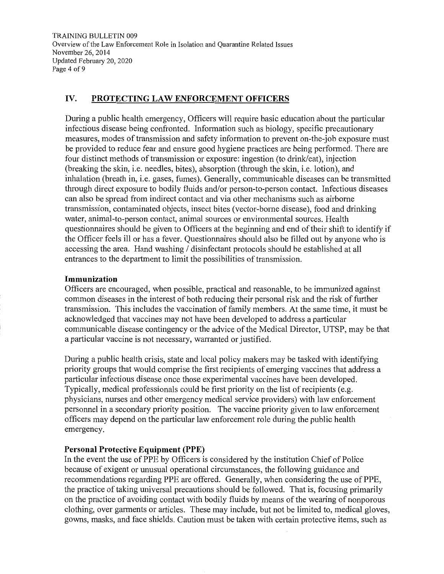TRAINING BULLETIN 009 Overview of the Law Enforcement Role in Isolation and Quarantine Related Issues November 26, 2014 Updated February 20, 2020 Page 4 of 9

#### **IV. PROTECTING LAW ENFORCEMENT OFFICERS**

During a public health emergency, Officers will require basic education about the particular infectious disease being confronted. Information such as biology, specific precautionary measures, modes of transmission and safety information to prevent on-the-job exposure must be provided to reduce fear and ensure good hygiene practices are being performed. There are four distinct methods of transmission or exposure: ingestion (to drink/eat), injection (breaking the skin, i.e. needles, bites), absorption (through the skin, i.e. lotion), and inhalation (breath in, i.e. gases, fumes). Generally, communicable diseases can be transmitted through direct exposure to bodily fluids and/or person-to-person contact. Infectious diseases can also be spread from indirect contact and via other mechanisms such as airborne transmission, contaminated objects, insect bites (vector-borne disease), food and drinking water, animal-to-person contact, animal sources or environmental sources. Health questionnaires should be given to Officers at the beginning and end of their shift to identify if the Officer feels ill or has a fever. Questionnaires should also be filled out by anyone who is accessing the area. Hand washing / disinfectant protocols should be established at all entrances to the department to limit the possibilities of transmission.

#### **Immunization**

Officers are encouraged, when possible, practical and reasonable, to be immunized against common diseases in the interest of both reducing their personal risk and the risk of further transmission. This includes the vaccination of family members. At the same time, it must be acknowledged that vaccines may not have been developed to address a particular communicable disease contingency or the advice of the Medical Director, UTSP, may be that a particular vaccine is not necessary, warranted or justified.

During a public health crisis, state and local policy makers may be tasked with identifying priority groups that would comprise the first recipients of emerging vaccines that address a particular infectious disease once those experimental vaccines have been developed. Typically, medical professionals could be first priority on the list of recipients (e.g. physicians, nurses and other emergency medical service providers) with law enforcement personnel in a secondary priority position. The vaccine priority given to law enforcement officers may depend on the particular law enforcement role during the public health emergency.

#### **Personal Protective Equipment (PPE)**

In the event the use of PPE by Officers is considered by the institution Chief of Police because of exigent or unusual operational circumstances, the following guidance and recommendations regarding PPE are offered. Generally, when considering the use of PPE, the practice of taking universal precautions should be followed. That is, focusing primarily on the practice of avoiding contact with bodily fluids by means of the wearing of nonporous clothing, over garments or articles. These may include, but not be limited to, medical gloves, gowns, masks, and face shields. Caution must be taken with certain protective items, such as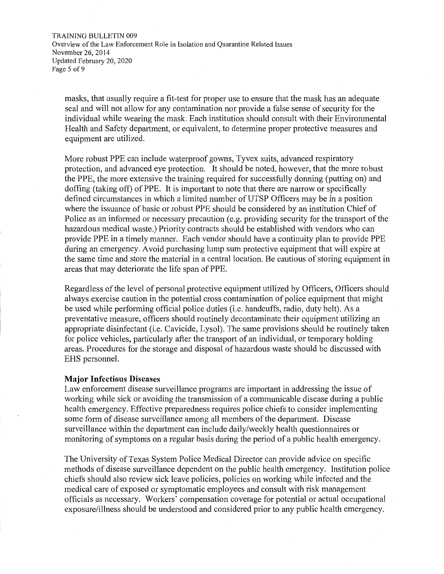TRAINING BULLETIN 009 Overview of the Law Enforcement Role in Isolation and Quarantine Related Issues November 26, 2014 Updated February 20, 2020 Page 5 of 9

masks, that usually require a fit-test for proper use to ensure that the mask has an adequate seal and will not allow for any contamination nor provide a false sense of security for the individual while wearing the mask. Each institution should consult with their Environmental Health and Safety department, or equivalent, to determine proper protective measures and equipment are utilized.

More robust PPE can include waterproof gowns, Tyvex suits, advanced respiratory protection, and advanced eye protection. It should be noted, however, that the more robust the PPE, the more extensive the training required for successfully donning (putting on) and doffing (taking off) of PPE. It is important to note that there are narrow or specifically defined circumstances in which a limited number of UTSP Officers may be in a position where the issuance of basic or robust PPE should be considered by an institution Chief of Police as an informed or necessary precaution (e.g. providing security for the transport of the hazardous medical waste.) Priority contracts should be established with vendors who can provide PPE in a timely manner. Each vendor should have a continuity plan to provide PPE during an emergency. Avoid purchasing lump sum protective equipment that will expire at the same time and store the material in a central location. Be cautious of storing equipment in areas that may deteriorate the life span of PPE.

Regardless of the level of personal protective equipment utilized by Officers, Officers should always exercise caution in the potential cross contamination of police equipment that might be used while performing official police duties (i.e. handcuffs, radio, duty belt). As a preventative measure, officers should routinely decontaminate their equipment utilizing an appropriate disinfectant (i.e. Cavicide, Lysol). The same provisions should be routinely taken for police vehicles, particularly after the transport of an individual, or temporary holding areas. Procedures for the storage and disposal of hazardous waste should be discussed with EHS personnel.

#### **Major Infectious Diseases**

Law enforcement disease surveillance programs are important in addressing the issue of working while sick or avoiding the transmission of a communicable disease during a public health emergency. Effective preparedness requires police chiefs to consider implementing some form of disease surveillance among all members of the department. Disease surveillance within the department can include daily/weekly health questionnaires or monitoring of symptoms on a regular basis during the period of a public health emergency.

The University of Texas System Police Medical Director can provide advice on specific methods of disease surveillance dependent on the public health emergency. Institution police chiefs should also review sick leave policies, policies on working while infected and the medical care of exposed or symptomatic employees and consult with risk management officials as necessary. Workers' compensation coverage for potential or actual occupational exposure/illness should be understood and considered prior to any public health emergency.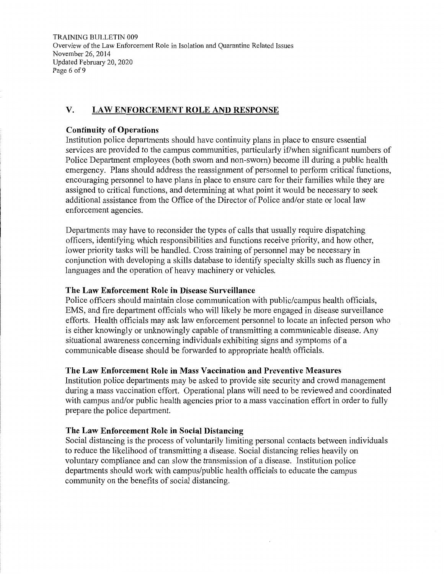TRAINING BULLETIN 009 Overview of the Law Enforcement Role in Isolation and Quarantine Related Issues November 26, 2014 Updated February 20, 2020 Page 6 of 9

# **V. LAW ENFORCEMENT ROLE AND RESPONSE**

#### **Continuity of Operations**

Institution police departments should have continuity plans in place to ensure essential services are provided to the campus communities, particularly if/when significant numbers of Police Department employees (both sworn and non-sworn) become ill during a public health emergency. Plans should address the reassignment of personnel to perform critical functions, encouraging personnel to have plans in place to ensure care for their families while they are assigned to critical functions, and determining at what point it would be necessary to seek additional assistance from the Office of the Director of Police and/or state or local law enforcement agencies.

Departments may have to reconsider the types of calls that usually require dispatching officers, identifying which responsibilities and functions receive priority, and how other, lower priority tasks will be handled. Cross training of personnel may be necessary in conjunction with developing a skills database to identify specialty skills such as fluency in languages and the operation of heavy machinery or vehicles.

#### **The Law Enforcement Role in Disease Surveillance**

Police officers should maintain close communication with public/campus health officials, EMS, and fire department officials who will likely be more engaged in disease surveillance efforts. Health officials may ask law enforcement personnel to locate an infected person who is either knowingly or unknowingly capable of transmitting a communicable disease. Any situational awareness concerning individuals exhibiting signs and symptoms of a communicable disease should be forwarded to appropriate health officials.

#### **The Law Enforcement Role in Mass Vaccination and Preventive Measures**

Institution police departments may be asked to provide site security and crowd management during a mass vaccination effort. Operational plans will need to be reviewed and coordinated with campus and/or public health agencies prior to a mass vaccination effort in order to fully prepare the police department.

#### **The Law Enforcement Role in Social Distancing**

Social distancing is the process of voluntarily limiting personal contacts between individuals to reduce the likelihood of transmitting a disease. Social distancing relies heavily on voluntary compliance and can slow the transmission of a disease. Institution police departments should work with campus/public health officials to educate the campus community on the benefits of social distancing.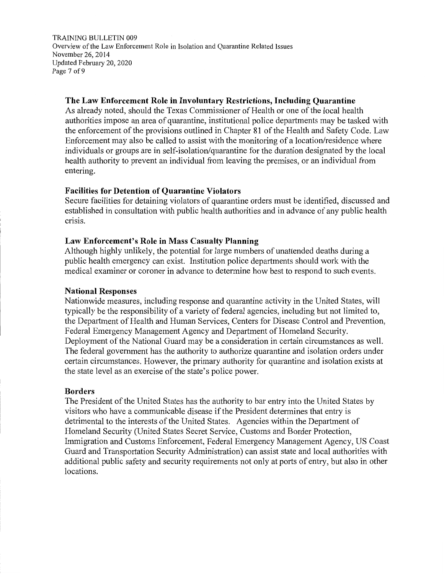TRAINING BULLETIN 009 Overview of the Law Enforcement Role in Isolation and Quarantine Related Issues November 26, 2014 Updated February 20, 2020 Page 7 of 9

### **The Law Enforcement Role in Involuntary Restrictions, Including Quarantine**

As already noted, should the Texas Commissioner of Health or one of the local health authorities impose an area of quarantine, institutional police departments may be tasked with the enforcement of the provisions outlined in Chapter 81 of the Health and Safety Code. Law Enforcement may also be called to assist with the monitoring of a location/residence where individuals or groups are in self-isolation/quarantine for the duration designated by the local health authority to prevent an individual from leaving the premises, or an individual from entering.

### **Facilities for Detention of Quarantine Violators**

Secure facilities for detaining violators of quarantine orders must be identified, discussed and established in consultation with public health authorities and in advance of any public health crisis.

### **Law Enforcement's Role in Mass Casualty Planning**

Although highly unlikely, the potential for large numbers of unattended deaths during a public health emergency can exist. Institution police departments should work with the medical examiner or coroner in advance to determine how best to respond to such events.

#### **National Responses**

Nationwide measures, including response and quarantine activity in the United States, will typically be the responsibility of a variety of federal agencies, including but not limited to, the Department of Health and Human Services, Centers for Disease Control and Prevention, Federal Emergency Management Agency and Department of Homeland Security. Deployment of the National Guard may be a consideration in certain circumstances as well. The federal government has the authority to authorize quarantine and isolation orders under certain circumstances. However, the primary authority for quarantine and isolation exists at the state level as an exercise of the state's police power.

### **Borders**

The President of the United States has the authority to bar entry into the United States by visitors who have a communicable disease if the President determines that entry is detrimental to the interests of the United States. Agencies within the Department of Homeland Security (United States Secret Service, Customs and Border Protection, Immigration and Customs Enforcement, Federal Emergency Management Agency, US Coast Guard and Transportation Security Administration) can assist state and local authorities with additional public safety and security requirements not only at ports of entry, but also in other locations.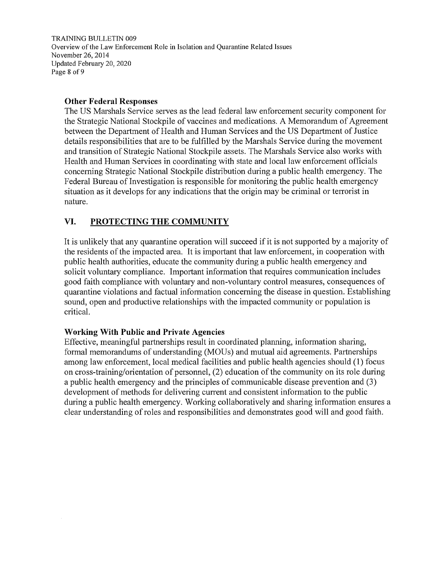TRAINING BULLETIN 009 Overview of the Law Enforcement Role in Isolation and Quarantine Related Issues November 26, 2014 Updated February 20, 2020 Page 8 of 9

#### **Other Federal Responses**

The US Marshals Service serves as the lead federal law enforcement security component for the Strategic National Stockpile of vaccines and medications. A Memorandum of Agreement between the Department of Health and Human Services and the US Department of Justice details responsibilities that are to be fulfilled by the Marshals Service during the movement and transition of Strategic National Stockpile assets. The Marshals Service also works with Health and Human Services in coordinating with state and local law enforcement officials concerning Strategic National Stockpile distribution during a public health emergency. The Federal Bureau of Investigation is responsible for monitoring the public health emergency situation as it develops for any indications that the origin may be criminal or terrorist in nature.

## **VI. PROTECTING THE COMMUNITY**

It is unlikely that any quarantine operation will succeed if it is not supported by a majority of the residents of the impacted area. It is important that law enforcement, in cooperation with public health authorities, educate the community during a public health emergency and solicit voluntary compliance. Important information that requires communication includes good faith compliance with voluntary and non-voluntary control measures, consequences of quarantine violations and factual information concerning the disease in question. Establishing sound, open and productive relationships with the impacted community or population is critical.

### **Working With Public and Private Agencies**

Effective, meaningful partnerships result in coordinated planning, information sharing, formal memorandums of understanding (MOUs) and mutual aid agreements. Partnerships among law enforcement, local medical facilities and public health agencies should (1) focus on cross-training/orientation of personnel, (2) education of the community on its role during a public health emergency and the principles of communicable disease prevention and (3) development of methods for delivering current and consistent information to the public during a public health emergency. Working collaboratively and sharing information ensures a clear understanding of roles and responsibilities and demonstrates good will and good faith.